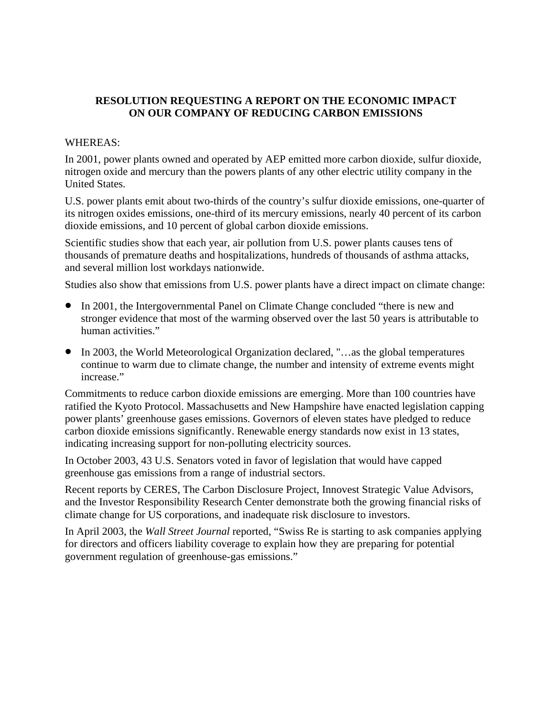## **RESOLUTION REQUESTING A REPORT ON THE ECONOMIC IMPACT ON OUR COMPANY OF REDUCING CARBON EMISSIONS**

## WHEREAS:

In 2001, power plants owned and operated by AEP emitted more carbon dioxide, sulfur dioxide, nitrogen oxide and mercury than the powers plants of any other electric utility company in the United States.

U.S. power plants emit about two-thirds of the country's sulfur dioxide emissions, one-quarter of its nitrogen oxides emissions, one-third of its mercury emissions, nearly 40 percent of its carbon dioxide emissions, and 10 percent of global carbon dioxide emissions.

Scientific studies show that each year, air pollution from U.S. power plants causes tens of thousands of premature deaths and hospitalizations, hundreds of thousands of asthma attacks, and several million lost workdays nationwide.

Studies also show that emissions from U.S. power plants have a direct impact on climate change:

- In 2001, the Intergovernmental Panel on Climate Change concluded "there is new and stronger evidence that most of the warming observed over the last 50 years is attributable to human activities."
- In 2003, the World Meteorological Organization declared, "…as the global temperatures continue to warm due to climate change, the number and intensity of extreme events might increase."

Commitments to reduce carbon dioxide emissions are emerging. More than 100 countries have ratified the Kyoto Protocol. Massachusetts and New Hampshire have enacted legislation capping power plants' greenhouse gases emissions. Governors of eleven states have pledged to reduce carbon dioxide emissions significantly. Renewable energy standards now exist in 13 states, indicating increasing support for non-polluting electricity sources.

In October 2003, 43 U.S. Senators voted in favor of legislation that would have capped greenhouse gas emissions from a range of industrial sectors.

Recent reports by CERES, The Carbon Disclosure Project, Innovest Strategic Value Advisors, and the Investor Responsibility Research Center demonstrate both the growing financial risks of climate change for US corporations, and inadequate risk disclosure to investors.

In April 2003, the *Wall Street Journal* reported, "Swiss Re is starting to ask companies applying for directors and officers liability coverage to explain how they are preparing for potential government regulation of greenhouse-gas emissions."